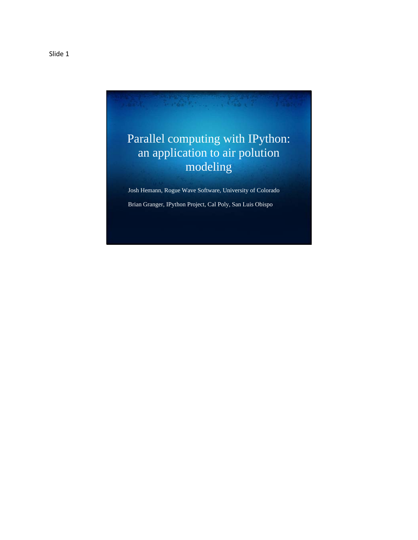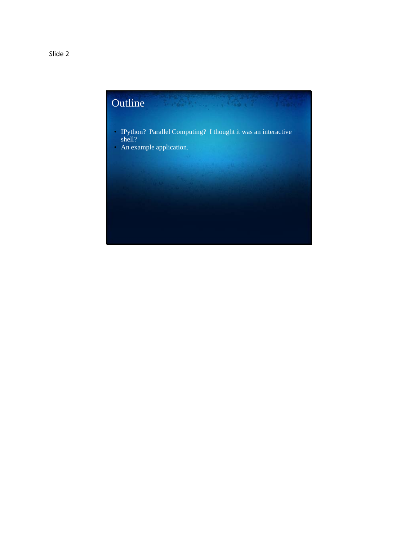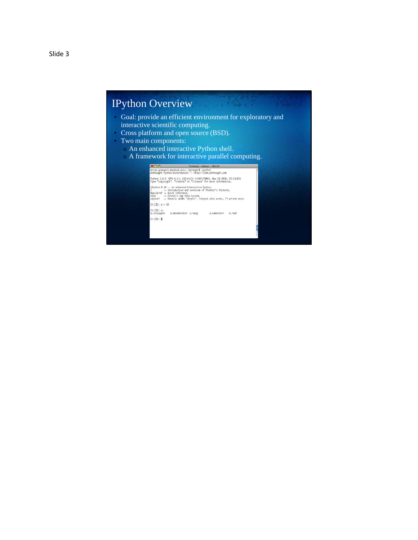### IPython Overview

- Goal: provide an efficient environment for exploratory and interactive scientific computing.
- Cross platform and open source (BSD).
- Two main components:
	- o An enhanced interactive Python shell.
	- $\sim$  A framework for interactive parallel computing.

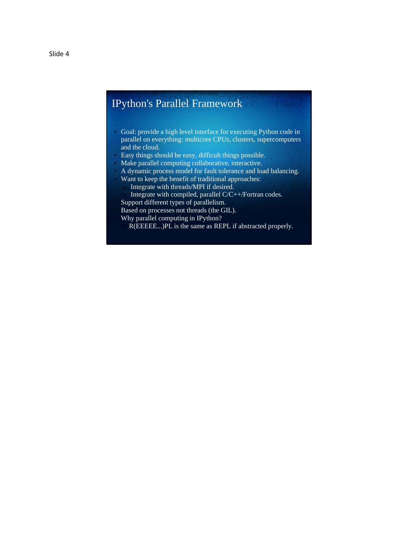## IPython's Parallel Framework

- Goal: provide a high level interface for executing Python code in parallel on everything: multicore CPUs, clusters, supercomputers and the cloud.
- Easy things should be easy, difficult things possible.
- Make parallel computing collaborative, interactive.
- A dynamic process model for fault tolerance and load balancing.
	- Want to keep the benefit of traditional approaches: Integrate with threads/MPI if desired.
		- Integrate with compiled, parallel C/C++/Fortran codes.
- Support different types of parallelism.
- Based on processes not threads (the GIL).
- Why parallel computing in IPython?
	- R(EEEE...)PL is the same as REPL if abstracted properly.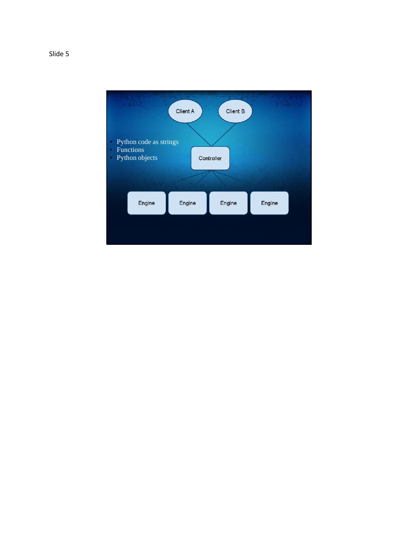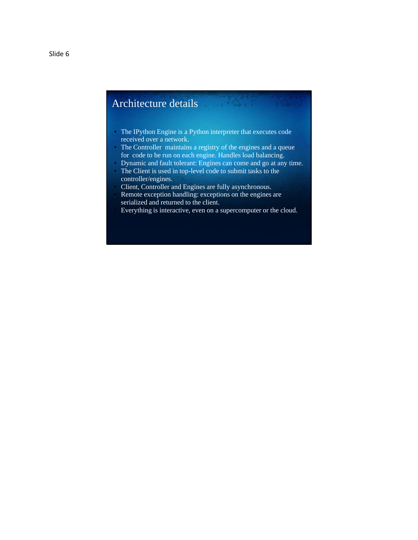# Architecture details

- The IPython Engine is a Python interpreter that executes code received over a network.
- The Controller maintains a registry of the engines and a queue for code to be run on each engine. Handles load balancing.
- Dynamic and fault tolerant: Engines can come and go at any time.
- The Client is used in top-level code to submit tasks to the controller/engines.
- Client, Controller and Engines are fully asynchronous.
- Remote exception handling: exceptions on the engines are serialized and returned to the client.
- Everything is interactive, even on a supercomputer or the cloud.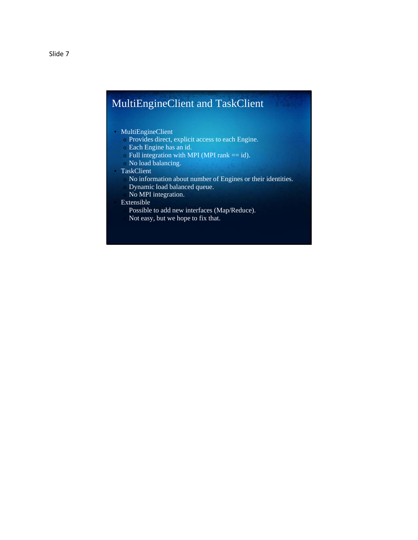# MultiEngineClient and TaskClient

- MultiEngineClient
	- o Provides direct, explicit access to each Engine.
	- o Each Engine has an id.
	- $\circ$  Full integration with MPI (MPI rank == id).
	- o No load balancing.
- TaskClient
	- No information about number of Engines or their identities.
	- Dynamic load balanced queue.
	- No MPI integration.
- **Extensible** 
	- Possible to add new interfaces (Map/Reduce).
	- Not easy, but we hope to fix that.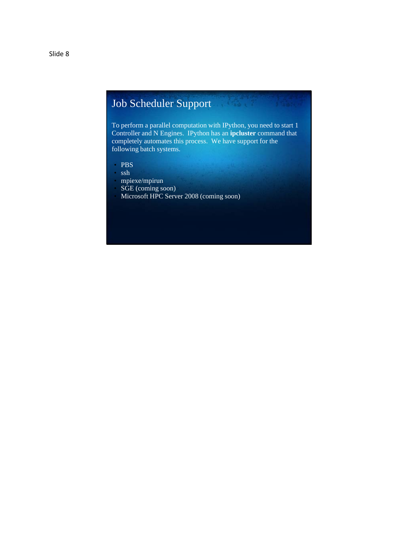### Job Scheduler Support **Sander Comment**

To perform a parallel computation with IPython, you need to start 1 Controller and N Engines. IPython has an **ipcluster** command that completely automates this process. We have support for the following batch systems.

- PBS
- ssh
- mpiexe/mpirun
- SGE (coming soon)
- Microsoft HPC Server 2008 (coming soon)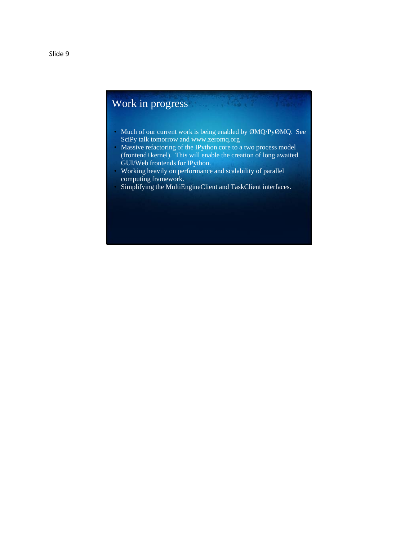# Work in progress

• Much of our current work is being enabled by ØMQ/PyØMQ. See SciPy talk tomorrow and www.zeromq.org

**Contract Contract** 

- Massive refactoring of the IPython core to a two process model (frontend+kernel). This will enable the creation of long awaited GUI/Web frontends for IPython.
- Working heavily on performance and scalability of parallel computing framework.
- Simplifying the MultiEngineClient and TaskClient interfaces.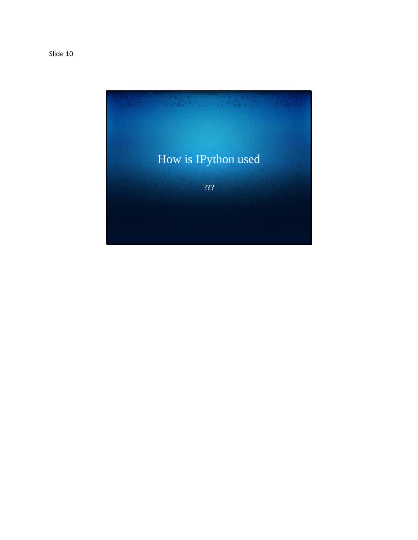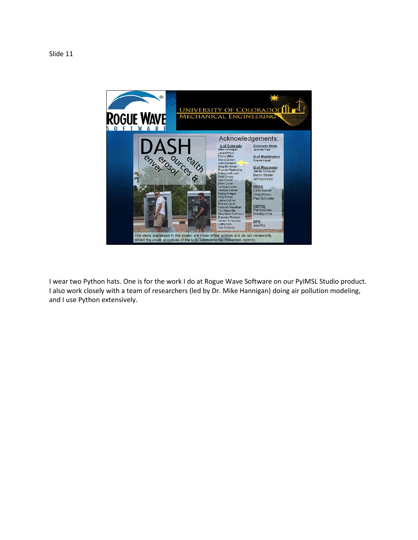

I wear two Python hats. One is for the work I do at Rogue Wave Software on our PyIMSL Studio product. I also work closely with a team of researchers (led by Dr. Mike Hannigan) doing air pollution modeling, and I use Python extensively.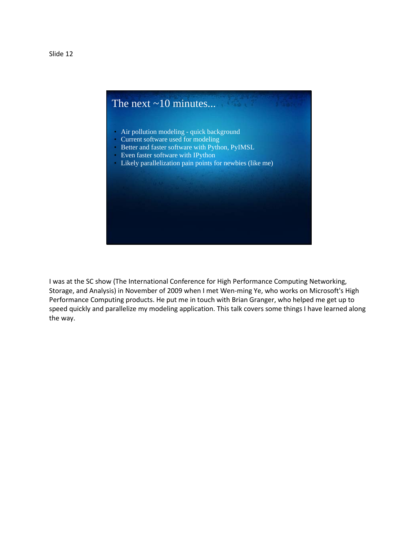

I was at the SC show (The International Conference for High Performance Computing Networking, Storage, and Analysis) in November of 2009 when I met Wen-ming Ye, who works on Microsoft's High Performance Computing products. He put me in touch with Brian Granger, who helped me get up to speed quickly and parallelize my modeling application. This talk covers some things I have learned along the way.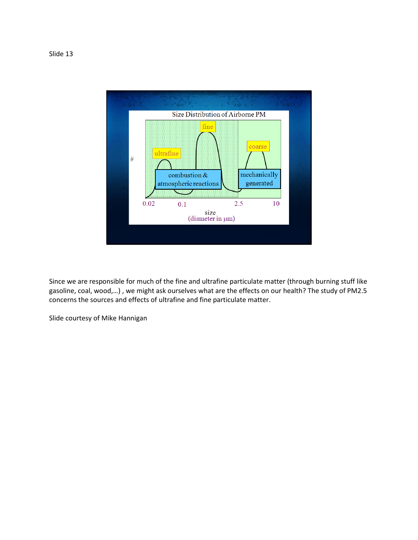

Since we are responsible for much of the fine and ultrafine particulate matter (through burning stuff like gasoline, coal, wood,…) , we might ask ourselves what are the effects on our health? The study of PM2.5 concerns the sources and effects of ultrafine and fine particulate matter.

Slide courtesy of Mike Hannigan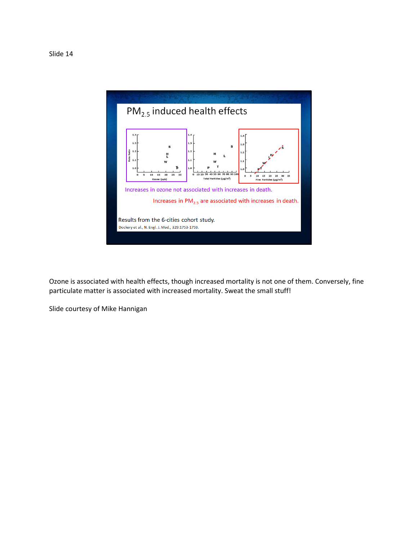

Ozone is associated with health effects, though increased mortality is not one of them. Conversely, fine particulate matter is associated with increased mortality. Sweat the small stuff!

Slide courtesy of Mike Hannigan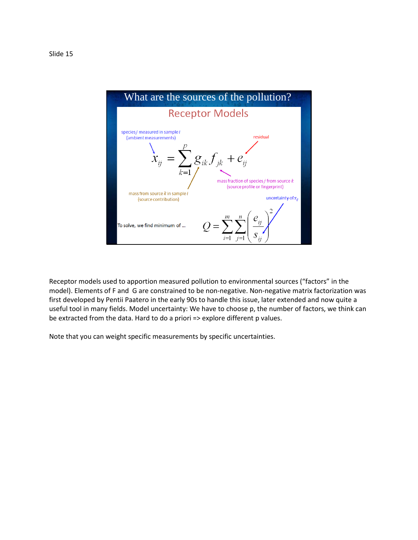

Receptor models used to apportion measured pollution to environmental sources ("factors" in the model). Elements of F and G are constrained to be non-negative. Non-negative matrix factorization was first developed by Pentii Paatero in the early 90s to handle this issue, later extended and now quite a useful tool in many fields. Model uncertainty: We have to choose p, the number of factors, we think can be extracted from the data. Hard to do a priori => explore different p values.

Note that you can weight specific measurements by specific uncertainties.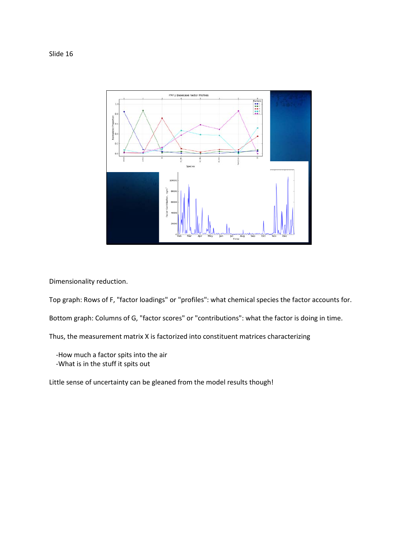Slide 16



Dimensionality reduction.

Top graph: Rows of F, "factor loadings" or "profiles": what chemical species the factor accounts for.

Bottom graph: Columns of G, "factor scores" or "contributions": what the factor is doing in time.

Thus, the measurement matrix X is factorized into constituent matrices characterizing

 -How much a factor spits into the air -What is in the stuff it spits out

Little sense of uncertainty can be gleaned from the model results though!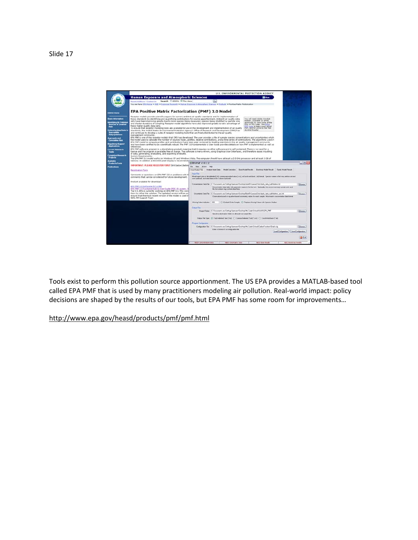|                                                                                                                                                                                                                                                                                                                                                         |                                                                                                                                                                                                                                                                                                                                                                                                                                                                                                                                                                                                                                                                                                                                                                                                                                                                                                                                                                                                                                                                                                                                                                                                                                                                                                                                                                                                                                                                                                                                                                                                                                                                                                                                                                                                                                                                                                                                                                                                                                                                                                                                                                                                                                                                         |                                                                       | <b>U.S. ENVIRONMENTAL PROTECTION AGENCY</b>                                                                                                                                                                                                                                                                                                                                                                                                                                                                                                                                                                                                                                                                                                                                                                                                                                                                                                                                                                                                                                                                                                                                                                                                                    |
|---------------------------------------------------------------------------------------------------------------------------------------------------------------------------------------------------------------------------------------------------------------------------------------------------------------------------------------------------------|-------------------------------------------------------------------------------------------------------------------------------------------------------------------------------------------------------------------------------------------------------------------------------------------------------------------------------------------------------------------------------------------------------------------------------------------------------------------------------------------------------------------------------------------------------------------------------------------------------------------------------------------------------------------------------------------------------------------------------------------------------------------------------------------------------------------------------------------------------------------------------------------------------------------------------------------------------------------------------------------------------------------------------------------------------------------------------------------------------------------------------------------------------------------------------------------------------------------------------------------------------------------------------------------------------------------------------------------------------------------------------------------------------------------------------------------------------------------------------------------------------------------------------------------------------------------------------------------------------------------------------------------------------------------------------------------------------------------------------------------------------------------------------------------------------------------------------------------------------------------------------------------------------------------------------------------------------------------------------------------------------------------------------------------------------------------------------------------------------------------------------------------------------------------------------------------------------------------------------------------------------------------------|-----------------------------------------------------------------------|----------------------------------------------------------------------------------------------------------------------------------------------------------------------------------------------------------------------------------------------------------------------------------------------------------------------------------------------------------------------------------------------------------------------------------------------------------------------------------------------------------------------------------------------------------------------------------------------------------------------------------------------------------------------------------------------------------------------------------------------------------------------------------------------------------------------------------------------------------------------------------------------------------------------------------------------------------------------------------------------------------------------------------------------------------------------------------------------------------------------------------------------------------------------------------------------------------------------------------------------------------------|
|                                                                                                                                                                                                                                                                                                                                                         | <b>Human Exposure and Atmospheric Sciences</b>                                                                                                                                                                                                                                                                                                                                                                                                                                                                                                                                                                                                                                                                                                                                                                                                                                                                                                                                                                                                                                                                                                                                                                                                                                                                                                                                                                                                                                                                                                                                                                                                                                                                                                                                                                                                                                                                                                                                                                                                                                                                                                                                                                                                                          |                                                                       | <b>Di</b> Shan                                                                                                                                                                                                                                                                                                                                                                                                                                                                                                                                                                                                                                                                                                                                                                                                                                                                                                                                                                                                                                                                                                                                                                                                                                                 |
|                                                                                                                                                                                                                                                                                                                                                         | Search: O All EPA @This Area<br><b>Recent Additions I Contact List</b>                                                                                                                                                                                                                                                                                                                                                                                                                                                                                                                                                                                                                                                                                                                                                                                                                                                                                                                                                                                                                                                                                                                                                                                                                                                                                                                                                                                                                                                                                                                                                                                                                                                                                                                                                                                                                                                                                                                                                                                                                                                                                                                                                                                                  | Go                                                                    |                                                                                                                                                                                                                                                                                                                                                                                                                                                                                                                                                                                                                                                                                                                                                                                                                                                                                                                                                                                                                                                                                                                                                                                                                                                                |
|                                                                                                                                                                                                                                                                                                                                                         | Tou are here: EFA Home = ESD = Exposure Passard: = Human Exposure & Atmospheric Edentation Products > Positive Matrix Pactivization                                                                                                                                                                                                                                                                                                                                                                                                                                                                                                                                                                                                                                                                                                                                                                                                                                                                                                                                                                                                                                                                                                                                                                                                                                                                                                                                                                                                                                                                                                                                                                                                                                                                                                                                                                                                                                                                                                                                                                                                                                                                                                                                     |                                                                       |                                                                                                                                                                                                                                                                                                                                                                                                                                                                                                                                                                                                                                                                                                                                                                                                                                                                                                                                                                                                                                                                                                                                                                                                                                                                |
| <b>IG ASD Home</b>                                                                                                                                                                                                                                                                                                                                      | <b>EPA Positive Matrix Factorization (PMF) 3.0 Model</b>                                                                                                                                                                                                                                                                                                                                                                                                                                                                                                                                                                                                                                                                                                                                                                                                                                                                                                                                                                                                                                                                                                                                                                                                                                                                                                                                                                                                                                                                                                                                                                                                                                                                                                                                                                                                                                                                                                                                                                                                                                                                                                                                                                                                                |                                                                       |                                                                                                                                                                                                                                                                                                                                                                                                                                                                                                                                                                                                                                                                                                                                                                                                                                                                                                                                                                                                                                                                                                                                                                                                                                                                |
| <b>Danie Information</b><br>dernitying Air Pedamon<br><b>Sources of Greatest</b><br><b>Hak</b><br><b>Understanding Fisiks to</b><br>Susceptible<br>Subpopulations<br><b>Accreciate and</b><br><b>Currulative Rosk</b><br>Regulatory Support<br><b>Applications</b><br><b>Current Research</b><br>Teslos<br><b>Completed Besonrch</b><br><b>Projects</b> | Receptor models provide scientific support for current ambient air quality standards and for implementation of<br>those standards by identifying and quantifying contributions for source apportionment. Ambient air quality data<br>tedown adoba baes lim usY<br>Reader, available as a free<br>sets have been improving greatly due to more species being measured, species being stratified by particle size.<br>download, to view some of the<br>and shorter durations of sampling. Receptor model algorithms have also improved greatly to take advantage of<br>files on this page. See EPA's<br>these higher quality data sets.<br>tor raids to learn more about<br>To ensure that receptor modeling tools are available for use in the development and implementation of air quality<br>PLIF, and for a link to the free<br>Acrobat Reader.<br>standards, the United States Environmental Protection Agency's Office of Research and Development (ORD) has<br>and continues to develop a suite of receptor modeling tools that are freely distributed to the air quality<br>management community.<br>EPA PNF is one of the receptor models that ORD has developed. The user provides a file of sample species concentrations and uncertainties which<br>the model uses to calculate the number of sources types, profiles, relative contributions, and a time series of contributions. The algorithms used in<br>EPA PNF riodel to compute profiles and contributions have been peer reviewed by leading scientists in the air quality management community<br>and have been certified to be scientifically rebust. The PHF 3.0 Fundamentals & User Guide provides details on how PHF is implemented as well as<br>raferances.<br>EPA PNF software program is a stand-alone product, meaning that it requires no other software and is self-contained. There is no need for a<br>icense and the program is avaiable free of charge. The software is menu-driven, using Graphical User Interfaces, and therefore eases inputting<br>of cata, generating, evaluating, and exporting of results.<br>System Requirements:<br>The EPA FMF 3.0 model works on Windows XP and Windows Vista. The computer should have at least a 2.0 GHz processor and at least 1 GE of |                                                                       |                                                                                                                                                                                                                                                                                                                                                                                                                                                                                                                                                                                                                                                                                                                                                                                                                                                                                                                                                                                                                                                                                                                                                                                                                                                                |
| <b><i><u><u>Internet</u></u></i></b>                                                                                                                                                                                                                                                                                                                    | nenory. In addition a 800x600 pixel disclay is recommendative                                                                                                                                                                                                                                                                                                                                                                                                                                                                                                                                                                                                                                                                                                                                                                                                                                                                                                                                                                                                                                                                                                                                                                                                                                                                                                                                                                                                                                                                                                                                                                                                                                                                                                                                                                                                                                                                                                                                                                                                                                                                                                                                                                                                           |                                                                       |                                                                                                                                                                                                                                                                                                                                                                                                                                                                                                                                                                                                                                                                                                                                                                                                                                                                                                                                                                                                                                                                                                                                                                                                                                                                |
| <b>Products/Techs</b>                                                                                                                                                                                                                                                                                                                                   | IMPORTANT: PLEASE REGISTER FIRST (link below) before Fig. New Artist Help                                                                                                                                                                                                                                                                                                                                                                                                                                                                                                                                                                                                                                                                                                                                                                                                                                                                                                                                                                                                                                                                                                                                                                                                                                                                                                                                                                                                                                                                                                                                                                                                                                                                                                                                                                                                                                                                                                                                                                                                                                                                                                                                                                                               | Eltrapury3022                                                         |                                                                                                                                                                                                                                                                                                                                                                                                                                                                                                                                                                                                                                                                                                                                                                                                                                                                                                                                                                                                                                                                                                                                                                                                                                                                |
| <b>Publications</b>                                                                                                                                                                                                                                                                                                                                     | Inout/Clugual Falm Analyze Ispan Data   Model Execution   Base Model Results   Bootstrap Model Towal   Fpeak Model Results  <br><b>Recistration Form</b>                                                                                                                                                                                                                                                                                                                                                                                                                                                                                                                                                                                                                                                                                                                                                                                                                                                                                                                                                                                                                                                                                                                                                                                                                                                                                                                                                                                                                                                                                                                                                                                                                                                                                                                                                                                                                                                                                                                                                                                                                                                                                                                |                                                                       |                                                                                                                                                                                                                                                                                                                                                                                                                                                                                                                                                                                                                                                                                                                                                                                                                                                                                                                                                                                                                                                                                                                                                                                                                                                                |
|                                                                                                                                                                                                                                                                                                                                                         | Comments or questions on EPA PMF 3.0 or problems with till<br>comments that can be considered for future development.<br>Product available for download:                                                                                                                                                                                                                                                                                                                                                                                                                                                                                                                                                                                                                                                                                                                                                                                                                                                                                                                                                                                                                                                                                                                                                                                                                                                                                                                                                                                                                                                                                                                                                                                                                                                                                                                                                                                                                                                                                                                                                                                                                                                                                                                | <b>Industrian</b><br>Denote instead and detections in the JeroBoch in |                                                                                                                                                                                                                                                                                                                                                                                                                                                                                                                                                                                                                                                                                                                                                                                                                                                                                                                                                                                                                                                                                                                                                                                                                                                                |
|                                                                                                                                                                                                                                                                                                                                                         | EPA PMF 3.0 Software (57.6 MB)<br>FPA PNF 1.0 Fundamentals & User Guide (PDF, 81 pages, 3)                                                                                                                                                                                                                                                                                                                                                                                                                                                                                                                                                                                                                                                                                                                                                                                                                                                                                                                                                                                                                                                                                                                                                                                                                                                                                                                                                                                                                                                                                                                                                                                                                                                                                                                                                                                                                                                                                                                                                                                                                                                                                                                                                                              | the lest column may contain date/line.                                | $-10x$<br>Mackel eged data in tab-delewined) http comme-reporated value ( cm ), or I adol autikbook ( wit) itemel - Species names in first row, ands in second<br>Concerts alon Data File: C. Darkstonds and Sathron Member/Chelston/JZLR/Concerts/Saturation, Jata, In ANAdopt M.<br><b>Bowoe</b><br>Concentration data table with parameter names in the first spe. Quicevally, the pecunities may contain units and<br>Uncertainty Data File: C1D ecuments and Setting/Monday/Dissilica/AA471/Societ/Data/dash. data_buk/NoAmn_unc.tvt<br><b>Dowoe</b><br>Chromatizedurant or equation hand uncertainty values for each sangle. Must match concentration data fromat<br>C Estilada Erdies Langils (C Resilient Moning Values with Species Median)<br>Bugut Folder: C1D rounwrits and Enting/Uhernann/Overits/My Code:School:AXARIGEN_PMF<br><b>Bowse</b><br>Specify a destination falder for all exodel nan output files.<br>Duput File Eyper (E) East behinded Text (This) C Comme-Delmined Text(" con) C Excel/Worldwol ("with<br>Configuration Film C1D acuments and Cotting/Unemann/Oxiditop/My Code\Calhool Clarkers surfame/Data\ clip<br><b>Downs</b><br>Enter or basede in a configuration life.<br>Load Contiguesium     Save Contiguesium<br>G Ea |
|                                                                                                                                                                                                                                                                                                                                                         | The U.S. EPA is currently working on EPA PMF 3.1. This yers<br>them to refine the solution. The updated version will be por<br>ensure that the most recent version of the model is used in<br>NEFL FM Support Team                                                                                                                                                                                                                                                                                                                                                                                                                                                                                                                                                                                                                                                                                                                                                                                                                                                                                                                                                                                                                                                                                                                                                                                                                                                                                                                                                                                                                                                                                                                                                                                                                                                                                                                                                                                                                                                                                                                                                                                                                                                      |                                                                       |                                                                                                                                                                                                                                                                                                                                                                                                                                                                                                                                                                                                                                                                                                                                                                                                                                                                                                                                                                                                                                                                                                                                                                                                                                                                |
|                                                                                                                                                                                                                                                                                                                                                         |                                                                                                                                                                                                                                                                                                                                                                                                                                                                                                                                                                                                                                                                                                                                                                                                                                                                                                                                                                                                                                                                                                                                                                                                                                                                                                                                                                                                                                                                                                                                                                                                                                                                                                                                                                                                                                                                                                                                                                                                                                                                                                                                                                                                                                                                         | Masnej Vaka Indicato: 999                                             |                                                                                                                                                                                                                                                                                                                                                                                                                                                                                                                                                                                                                                                                                                                                                                                                                                                                                                                                                                                                                                                                                                                                                                                                                                                                |
|                                                                                                                                                                                                                                                                                                                                                         |                                                                                                                                                                                                                                                                                                                                                                                                                                                                                                                                                                                                                                                                                                                                                                                                                                                                                                                                                                                                                                                                                                                                                                                                                                                                                                                                                                                                                                                                                                                                                                                                                                                                                                                                                                                                                                                                                                                                                                                                                                                                                                                                                                                                                                                                         | <b>Output Films</b>                                                   |                                                                                                                                                                                                                                                                                                                                                                                                                                                                                                                                                                                                                                                                                                                                                                                                                                                                                                                                                                                                                                                                                                                                                                                                                                                                |
|                                                                                                                                                                                                                                                                                                                                                         |                                                                                                                                                                                                                                                                                                                                                                                                                                                                                                                                                                                                                                                                                                                                                                                                                                                                                                                                                                                                                                                                                                                                                                                                                                                                                                                                                                                                                                                                                                                                                                                                                                                                                                                                                                                                                                                                                                                                                                                                                                                                                                                                                                                                                                                                         |                                                                       |                                                                                                                                                                                                                                                                                                                                                                                                                                                                                                                                                                                                                                                                                                                                                                                                                                                                                                                                                                                                                                                                                                                                                                                                                                                                |
|                                                                                                                                                                                                                                                                                                                                                         |                                                                                                                                                                                                                                                                                                                                                                                                                                                                                                                                                                                                                                                                                                                                                                                                                                                                                                                                                                                                                                                                                                                                                                                                                                                                                                                                                                                                                                                                                                                                                                                                                                                                                                                                                                                                                                                                                                                                                                                                                                                                                                                                                                                                                                                                         |                                                                       |                                                                                                                                                                                                                                                                                                                                                                                                                                                                                                                                                                                                                                                                                                                                                                                                                                                                                                                                                                                                                                                                                                                                                                                                                                                                |
|                                                                                                                                                                                                                                                                                                                                                         |                                                                                                                                                                                                                                                                                                                                                                                                                                                                                                                                                                                                                                                                                                                                                                                                                                                                                                                                                                                                                                                                                                                                                                                                                                                                                                                                                                                                                                                                                                                                                                                                                                                                                                                                                                                                                                                                                                                                                                                                                                                                                                                                                                                                                                                                         |                                                                       |                                                                                                                                                                                                                                                                                                                                                                                                                                                                                                                                                                                                                                                                                                                                                                                                                                                                                                                                                                                                                                                                                                                                                                                                                                                                |
|                                                                                                                                                                                                                                                                                                                                                         |                                                                                                                                                                                                                                                                                                                                                                                                                                                                                                                                                                                                                                                                                                                                                                                                                                                                                                                                                                                                                                                                                                                                                                                                                                                                                                                                                                                                                                                                                                                                                                                                                                                                                                                                                                                                                                                                                                                                                                                                                                                                                                                                                                                                                                                                         | <b>Program Configuration</b>                                          |                                                                                                                                                                                                                                                                                                                                                                                                                                                                                                                                                                                                                                                                                                                                                                                                                                                                                                                                                                                                                                                                                                                                                                                                                                                                |
|                                                                                                                                                                                                                                                                                                                                                         |                                                                                                                                                                                                                                                                                                                                                                                                                                                                                                                                                                                                                                                                                                                                                                                                                                                                                                                                                                                                                                                                                                                                                                                                                                                                                                                                                                                                                                                                                                                                                                                                                                                                                                                                                                                                                                                                                                                                                                                                                                                                                                                                                                                                                                                                         |                                                                       |                                                                                                                                                                                                                                                                                                                                                                                                                                                                                                                                                                                                                                                                                                                                                                                                                                                                                                                                                                                                                                                                                                                                                                                                                                                                |
|                                                                                                                                                                                                                                                                                                                                                         |                                                                                                                                                                                                                                                                                                                                                                                                                                                                                                                                                                                                                                                                                                                                                                                                                                                                                                                                                                                                                                                                                                                                                                                                                                                                                                                                                                                                                                                                                                                                                                                                                                                                                                                                                                                                                                                                                                                                                                                                                                                                                                                                                                                                                                                                         |                                                                       |                                                                                                                                                                                                                                                                                                                                                                                                                                                                                                                                                                                                                                                                                                                                                                                                                                                                                                                                                                                                                                                                                                                                                                                                                                                                |
|                                                                                                                                                                                                                                                                                                                                                         |                                                                                                                                                                                                                                                                                                                                                                                                                                                                                                                                                                                                                                                                                                                                                                                                                                                                                                                                                                                                                                                                                                                                                                                                                                                                                                                                                                                                                                                                                                                                                                                                                                                                                                                                                                                                                                                                                                                                                                                                                                                                                                                                                                                                                                                                         |                                                                       |                                                                                                                                                                                                                                                                                                                                                                                                                                                                                                                                                                                                                                                                                                                                                                                                                                                                                                                                                                                                                                                                                                                                                                                                                                                                |
|                                                                                                                                                                                                                                                                                                                                                         |                                                                                                                                                                                                                                                                                                                                                                                                                                                                                                                                                                                                                                                                                                                                                                                                                                                                                                                                                                                                                                                                                                                                                                                                                                                                                                                                                                                                                                                                                                                                                                                                                                                                                                                                                                                                                                                                                                                                                                                                                                                                                                                                                                                                                                                                         | <b>MYD CANAMINA DIES</b><br><b>NETO LINGETATION DATA</b>              | <b>NETTI FININ STAGES</b><br>NETO Bootstran Execute                                                                                                                                                                                                                                                                                                                                                                                                                                                                                                                                                                                                                                                                                                                                                                                                                                                                                                                                                                                                                                                                                                                                                                                                            |

Tools exist to perform this pollution source apportionment. The US EPA provides a MATLAB-based tool called EPA PMF that is used by many practitioners modeling air pollution. Real-world impact: policy decisions are shaped by the results of our tools, but EPA PMF has some room for improvements…

http://www.epa.gov/heasd/products/pmf/pmf.html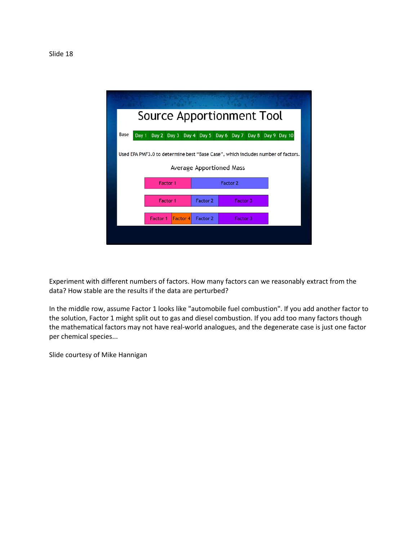

Experiment with different numbers of factors. How many factors can we reasonably extract from the data? How stable are the results if the data are perturbed?

In the middle row, assume Factor 1 looks like "automobile fuel combustion". If you add another factor to the solution, Factor 1 might split out to gas and diesel combustion. If you add too many factors though the mathematical factors may not have real-world analogues, and the degenerate case is just one factor per chemical species...

Slide courtesy of Mike Hannigan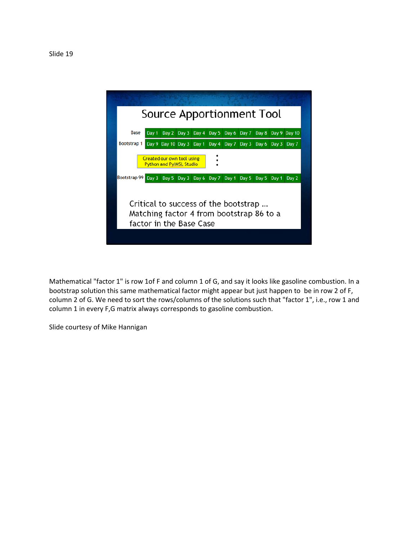

Mathematical "factor 1" is row 1of F and column 1 of G, and say it looks like gasoline combustion. In a bootstrap solution this same mathematical factor might appear but just happen to be in row 2 of F, column 2 of G. We need to sort the rows/columns of the solutions such that "factor 1", i.e., row 1 and column 1 in every F,G matrix always corresponds to gasoline combustion.

Slide courtesy of Mike Hannigan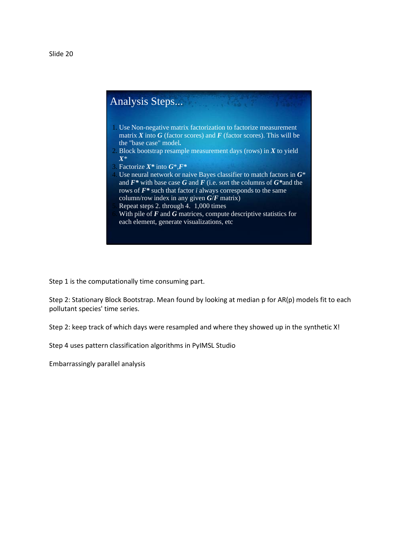

Step 1 is the computationally time consuming part.

Step 2: Stationary Block Bootstrap. Mean found by looking at median p for AR(p) models fit to each pollutant species' time series.

Step 2: keep track of which days were resampled and where they showed up in the synthetic X!

Step 4 uses pattern classification algorithms in PyIMSL Studio

Embarrassingly parallel analysis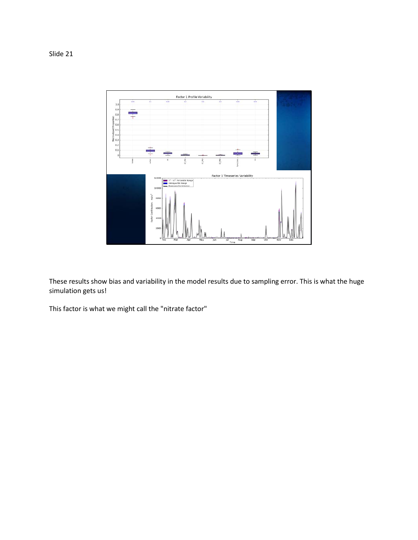Slide 21



These results show bias and variability in the model results due to sampling error. This is what the huge simulation gets us!

This factor is what we might call the "nitrate factor"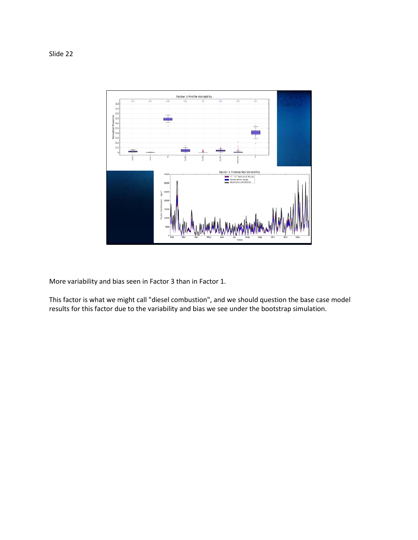### Slide 22



More variability and bias seen in Factor 3 than in Factor 1.

This factor is what we might call "diesel combustion", and we should question the base case model results for this factor due to the variability and bias we see under the bootstrap simulation.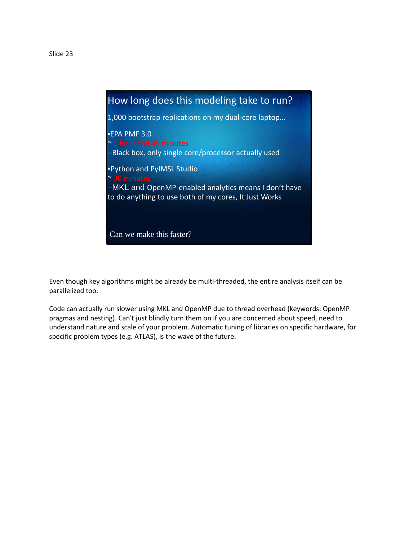

Even though key algorithms might be already be multi-threaded, the entire analysis itself can be parallelized too.

Code can actually run slower using MKL and OpenMP due to thread overhead (keywords: OpenMP pragmas and nesting). Can't just blindly turn them on if you are concerned about speed, need to understand nature and scale of your problem. Automatic tuning of libraries on specific hardware, for specific problem types (e.g. ATLAS), is the wave of the future.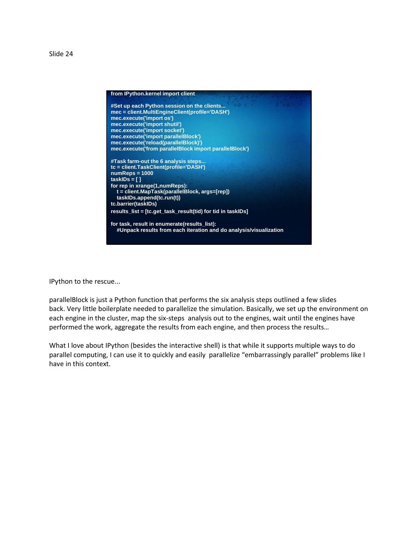Slide 24



IPython to the rescue...

parallelBlock is just a Python function that performs the six analysis steps outlined a few slides back. Very little boilerplate needed to parallelize the simulation. Basically, we set up the environment on each engine in the cluster, map the six-steps analysis out to the engines, wait until the engines have performed the work, aggregate the results from each engine, and then process the results…

What I love about IPython (besides the interactive shell) is that while it supports multiple ways to do parallel computing, I can use it to quickly and easily parallelize "embarrassingly parallel" problems like I have in this context.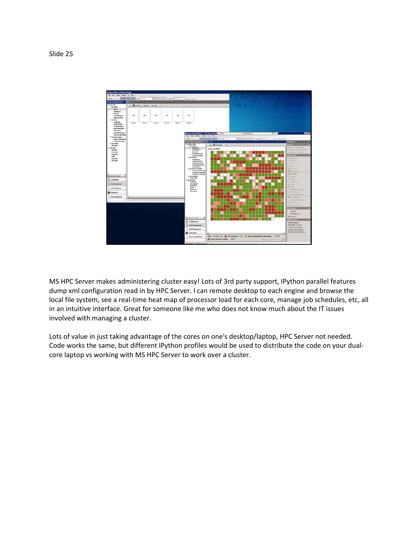

MS HPC Server makes administering cluster easy! Lots of 3rd party support, IPython parallel features dump xml configuration read in by HPC Server. I can remote desktop to each engine and browse the local file system, see a real-time heat map of processor load for each core, manage job schedules, etc, all in an intuitive interface. Great for someone like me who does not know much about the IT issues involved with managing a cluster.

Lots of value in just taking advantage of the cores on one's desktop/laptop, HPC Server not needed. Code works the same, but different IPython profiles would be used to distribute the code on your dualcore laptop vs working with MS HPC Server to work over a cluster.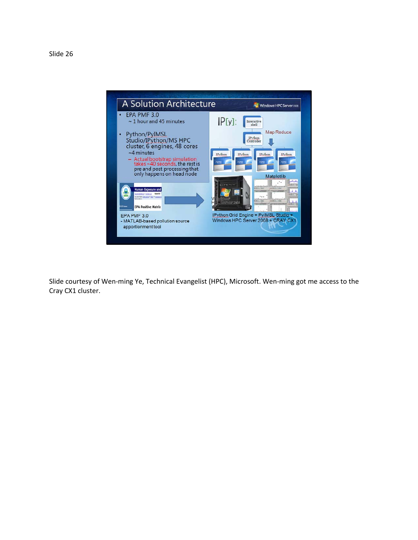

Slide courtesy of Wen-ming Ye, Technical Evangelist (HPC), Microsoft. Wen-ming got me access to the Cray CX1 cluster.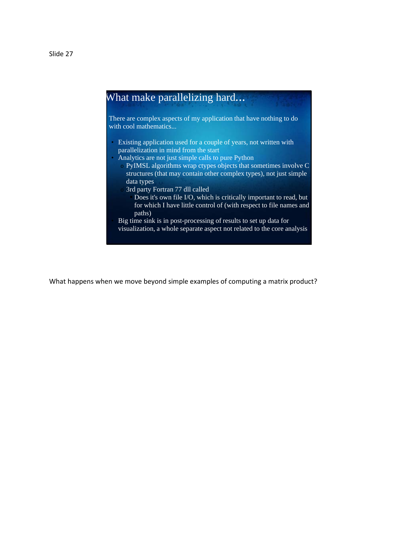

What happens when we move beyond simple examples of computing a matrix product?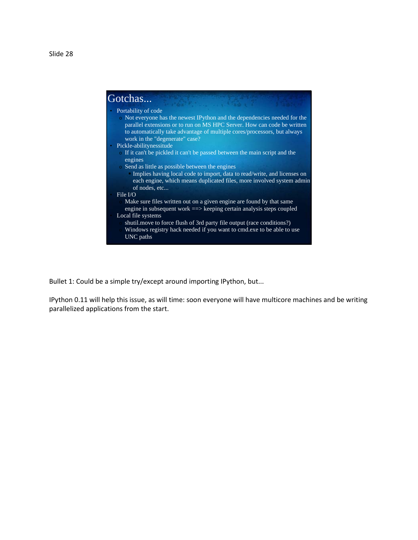

Bullet 1: Could be a simple try/except around importing IPython, but...

IPython 0.11 will help this issue, as will time: soon everyone will have multicore machines and be writing parallelized applications from the start.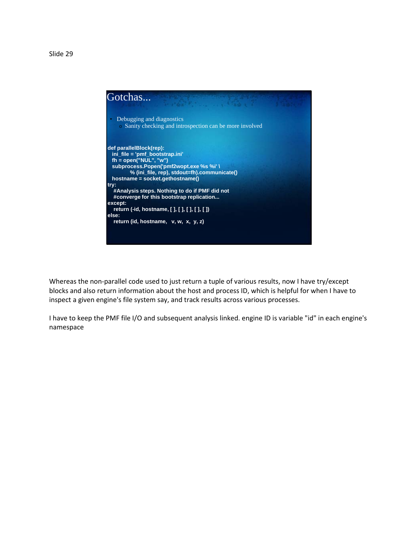

Whereas the non-parallel code used to just return a tuple of various results, now I have try/except blocks and also return information about the host and process ID, which is helpful for when I have to inspect a given engine's file system say, and track results across various processes.

I have to keep the PMF file I/O and subsequent analysis linked. engine ID is variable "id" in each engine's namespace